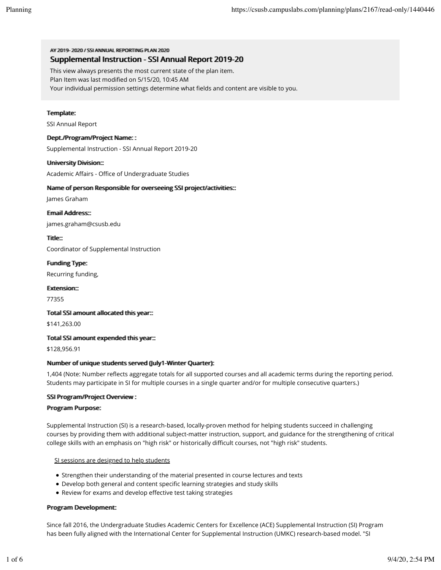AV 20119-2002 // SSIANNIHAI REPORTING PILAN 2020 Supplemental Instruction - SSI Annual Report 2019-20

This view always presents the most current state of the plan item.

Plan Item was last modified on 5/15/20, 10:45 AM

Your individual permission settings determine what fields and content are visible to you.

### Termplate:

SSI Annual Report

### Deptt.//Programm//Projject Namme: :

Supplemental Instruction - SSI Annual Report 2019-20

### Uniiversiity Divisiion::

Academic Affairs - Office of Undergraduate Studies

### Name of person Responsiible for overseeiing SSI project/activities:::

James Graham

Ermaiil Address:::

james.graham@csusb.edu

Tiitlle::

Coordinator of Supplemental Instruction

Fundiing Type: Recurring funding,

Extension::

77355

### Totall SSI armount alllocated thiis year:::

\$141,263.00

### Totall SSI armount expended thiis year:::

\$128,956.91

## Nummber of umique students served (Jully1-Winter Quarter):

1,404 (Note: Number reflects aggregate totals for all supported courses and all academic terms during the reporting period. Students may participate in SI for multiple courses in a single quarter and/or for multiple consecutive quarters.)

### SSI Program/Project Overview :

### Program Purpose:

Supplemental Instruction (SI) is a research-based, locally-proven method for helping students succeed in challenging courses by providing them with additional subject-matter instruction, support, and guidance for the strengthening of critical college skills with an emphasis on "high risk" or historically difficult courses, not "high risk" students.

### SI sessions are designed to help students

- Strengthen their understanding of the material presented in course lectures and texts
- Develop both general and content specific learning strategies and study skills
- Review for exams and develop effective test taking strategies

### Program Development:

Since fall 2016, the Undergraduate Studies Academic Centers for Excellence (ACE) Supplemental Instruction (SI) Program has been fully aligned with the International Center for Supplemental Instruction (UMKC) research-based model. "SI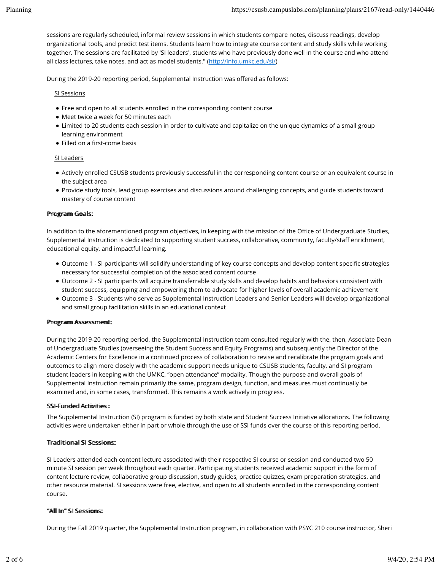sessions are regularly scheduled, informal review sessions in which students compare notes, discuss readings, develop organizational tools, and predict test items. Students learn how to integrate course content and study skills while working together. The sessions are facilitated by 'SI leaders', students who have previously done well in the course and who attend all class lectures, take notes, and act as model students." (http://info.umkc.edu/si/)

During the 2019-20 reporting period, Supplemental Instruction was offered as follows:

SI Sessions

- Free and open to all students enrolled in the corresponding content course
- Meet twice a week for 50 minutes each
- Limited to 20 students each session in order to cultivate and capitalize on the unique dynamics of a small group learning environment
- $\bullet$  Filled on a first-come basis

## SI Leaders

- Actively enrolled CSUSB students previously successful in the corresponding content course or an equivalent course in the subject area
- Provide study tools, lead group exercises and discussions around challenging concepts, and guide students toward mastery of course content

# Program Goalls:

In addition to the aforementioned program objectives, in keeping with the mission of the Office of Undergraduate Studies, Supplemental Instruction is dedicated to supporting student success, collaborative, community, faculty/staff enrichment, educational equity, and impactful learning.

- . Outcome 1 SI participants will solidify understanding of key course concepts and develop content specific strategies necessary for successful completion of the associated content course
- Outcome 2 SI participants will acquire transferrable study skills and develop habits and behaviors consistent with student success, equipping and empowering them to advocate for higher levels of overall academic achievement
- Outcome 3 Students who serve as Supplemental Instruction Leaders and Senior Leaders will develop organizational and small group facilitation skills in an educational context

## Program Assessment:

During the 2019-20 reporting period, the Supplemental Instruction team consulted regularly with the, then, Associate Dean of Undergraduate Studies (overseeing the Student Success and Equity Programs) and subsequently the Director of the Academic Centers for Excellence in a continued process of collaboration to revise and recalibrate the program goals and outcomes to align more closely with the academic support needs unique to CSUSB students, faculty, and SI program student leaders in keeping with the UMKC, "open attendance" modality. Though the purpose and overall goals of Supplemental Instruction remain primarily the same, program design, function, and measures must continually be examined and, in some cases, transformed. This remains a work actively in progress.

## SSI-Fuunded Actiiviitiies:

The Supplemental Instruction (SI) program is funded by both state and Student Success Initiative allocations. The following activities were undertaken either in part or whole through the use of SSI funds over the course of this reporting period.

# Tradiitiionall SI Sessiions:

SI Leaders attended each content lecture associated with their respective SI course or session and conducted two 50 minute SI session per week throughout each quarter. Participating students received academic support in the form of content lecture review, collaborative group discussion, study guides, practice quizzes, exam preparation strategies, and other resource material. SI sessions were free, elective, and open to all students enrolled in the corresponding content course.

# "Alll Im" SI Sessions:

During the Fall 2019 quarter, the Supplemental Instruction program, in collaboration with PSYC 210 course instructor, Sheri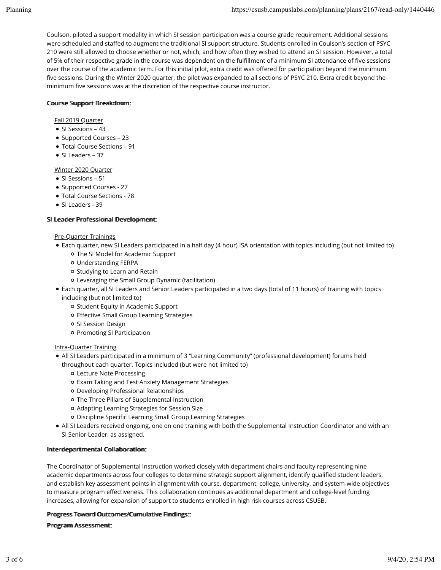Coulson, piloted a support modality in which SI session participation was a course grade requirement. Additional sessions were scheduled and staffed to augment the traditional SI support structure. Students enrolled in Coulson's section of PSYC 210 were still allowed to choose whether or not, which, and how often they wished to attend an SI session. However, a total of 5% of their respective grade in the course was dependent on the fulfillment of a minimum SI attendance of five sessions over the course of the academic term. For this initial pilot, extra credit was offered for participation beyond the minimum five sessions. During the Winter 2020 quarter, the pilot was expanded to all sections of PSYC 210. Extra credit beyond the minimum five sessions was at the discretion of the respective course instructor.

# Course Support Breakdown:

# Fall 2019 Quarter

- SI Sessions 43
- Supported Courses 23
- Total Course Sections 91
- SI Leaders 37

# Winter 2020 Quarter

- SI Sessions 51
- Supported Courses 27
- Total Course Sections 78
- SI Leaders 39

# SI Leader Professional Development:

# Pre-Quarter Trainings

- Each quarter, new SI Leaders participated in a half day (4 hour) ISA orientation with topics including (but not limited to)
	- The SI Model for Academic Support
	- Understanding FERPA
	- o Studying to Learn and Retain
	- Leveraging the Small Group Dynamic (facilitation)
- Each quarter, all SI Leaders and Senior Leaders participated in a two days (total of 11 hours) of training with topics

including (but not limited to)

- o Student Equity in Academic Support
- o Effective Small Group Learning Strategies
- o SI Session Design
- o Promoting SI Participation

## Intra-Quarter Training

- All SI Leaders participated in a minimum of 3 "Learning Community" (professional development) forums held throughout each quarter. Topics included (but were not limited to)
	- Lecture Note Processing
	- Exam Taking and Test Anxiety Management Strategies
	- Developing Professional Relationships
	- The Three Pillars of Supplemental Instruction
	- Adapting Learning Strategies for Session Size
	- o Discipline Specific Learning Small Group Learning Strategies
- All SI Leaders received ongoing, one on one training with both the Supplemental Instruction Coordinator and with an SI Senior Leader, as assigned.

## IInterdepartmental Colllaboratiion:

The Coordinator of Supplemental Instruction worked closely with department chairs and faculty representing nine academic departments across four colleges to determine strategic support alignment, identify qualified student leaders, and establish key assessment points in alignment with course, department, college, university, and system-wide objectives to measure program effectiveness. This collaboration continues as additional department and college-level funding increases, allowing for expansion of support to students enrolled in high risk courses across CSUSB.

## Progress Toward Outtcomes//Cummullattive Fiindlings:::

## Program Assessment: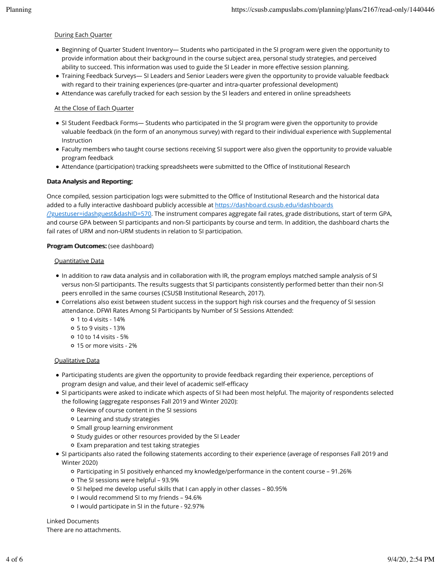### During Each Quarter

- Beginning of Quarter Student Inventory— Students who participated in the SI program were given the opportunity to provide information about their background in the course subject area, personal study strategies, and perceived ability to succeed. This information was used to guide the SI Leader in more effective session planning.
- Training Feedback Surveys— SI Leaders and Senior Leaders were given the opportunity to provide valuable feedback with regard to their training experiences (pre-quarter and intra-quarter professional development)
- Attendance was carefully tracked for each session by the SI leaders and entered in online spreadsheets

### At the Close of Each Quarter

- SI Student Feedback Forms— Students who participated in the SI program were given the opportunity to provide valuable feedback (in the form of an anonymous survey) with regard to their individual experience with Supplemental Instruction
- Faculty members who taught course sections receiving SI support were also given the opportunity to provide valuable program feedback
- Attendance (participation) tracking spreadsheets were submitted to the Office of Institutional Research

### Data Anallysiis and Reportiing:

Once compiled, session participation logs were submitted to the Office of Institutional Research and the historical data added to a fully interactive dashboard publicly accessible at https://dashboard.csusb.edu/idashboards /?guestuser=idashguest&dashID=570. The instrument compares aggregate fail rates, grade distributions, start of term GPA, and course GPA between SI participants and non-SI participants by course and term. In addition, the dashboard charts the fail rates of URM and non-URM students in relation to SI participation.

### Program Outcomes: (see dashboard)

### Quantitative Data

- In addition to raw data analysis and in collaboration with IR, the program employs matched sample analysis of SI versus non-SI participants. The results suggests that SI participants consistently performed better than their non-SI peers enrolled in the same courses (CSUSB Institutional Research, 2017).
- Correlations also exist between student success in the support high risk courses and the frequency of SI session attendance. DFWI Rates Among SI Participants by Number of SI Sessions Attended:
	- 1 to 4 visits 14%
	- 5 to 9 visits 13%
	- 10 to 14 visits 5%
	- 15 or more visits 2%

### Qualitative Data

- Participating students are given the opportunity to provide feedback regarding their experience, perceptions of program design and value, and their level of academic self-efficacy
- SI participants were asked to indicate which aspects of SI had been most helpful. The majority of respondents selected the following (aggregate responses Fall 2019 and Winter 2020):
	- o Review of course content in the SI sessions
	- Learning and study strategies
	- o Small group learning environment
	- o Study guides or other resources provided by the SI Leader
	- Exam preparation and test taking strategies
- SI participants also rated the following statements according to their experience (average of responses Fall 2019 and Winter 2020)
	- Participating in SI positively enhanced my knowledge/performance in the content course 91.26%
	- The SI sessions were helpful 93.9%
	- SI helped me develop useful skills that I can apply in other classes 80.95%
	- o I would recommend SI to my friends 94.6%
	- o I would participate in SI in the future 92.97%

Linked Documents

There are no attachments.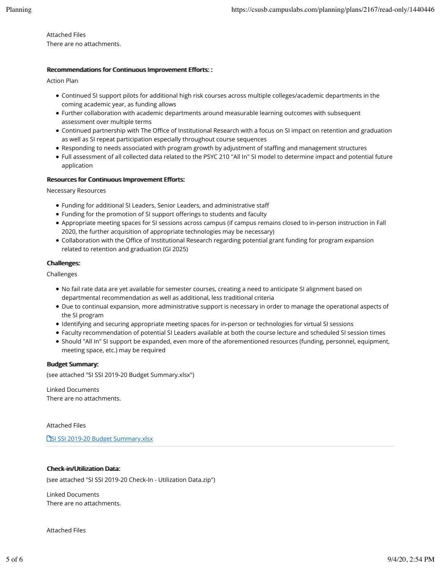Attached Files There are no attachments.

### Recommendations for Continuous Improvement Efforts::

Action Plan

- Continued SI support pilots for additional high risk courses across multiple colleges/academic departments in the coming academic year, as funding allows
- Further collaboration with academic departments around measurable learning outcomes with subsequent assessment over multiple terms
- Continued partnership with The Office of Institutional Research with a focus on SI impact on retention and graduation as well as SI repeat participation especially throughout course sequences
- Responding to needs associated with program growth by adjustment of staffing and management structures
- Full assessment of all collected data related to the PSYC 210 "All In" SI model to determine impact and potential future application

## Resources for Contiinuous Improvement Efforts:

Necessary Resources

- Funding for additional SI Leaders, Senior Leaders, and administrative staff
- Funding for the promotion of SI support offerings to students and faculty
- Appropriate meeting spaces for SI sessions across campus (if campus remains closed to in-person instruction in Fall 2020, the further acquisition of appropriate technologies may be necessary)
- Collaboration with the Office of Institutional Research regarding potential grant funding for program expansion related to retention and graduation (GI 2025)

### Challlenges:

Challenges

- No fail rate data are yet available for semester courses, creating a need to anticipate SI alignment based on departmental recommendation as well as additional, less traditional criteria
- Due to continual expansion, more administrative support is necessary in order to manage the operational aspects of the SI program
- Identifying and securing appropriate meeting spaces for in-person or technologies for virtual SI sessions
- Faculty recommendation of potential SI Leaders available at both the course lecture and scheduled SI session times
- Should "All In" SI support be expanded, even more of the aforementioned resources (funding, personnel, equipment, meeting space, etc.) may be required

### Budget Summmary:

(see attached "SI SSI 2019-20 Budget Summary.xlsx")

Linked Documents There are no attachments.

### Attached Files

**TSI SSI 2019-20 Budget Summary.xlsx** 

## Check-iin/Utiiliizatiion Data:

(see attached "SI SSI 2019-20 Check-In - Utilization Data.zip")

Linked Documents There are no attachments.

Attached Files